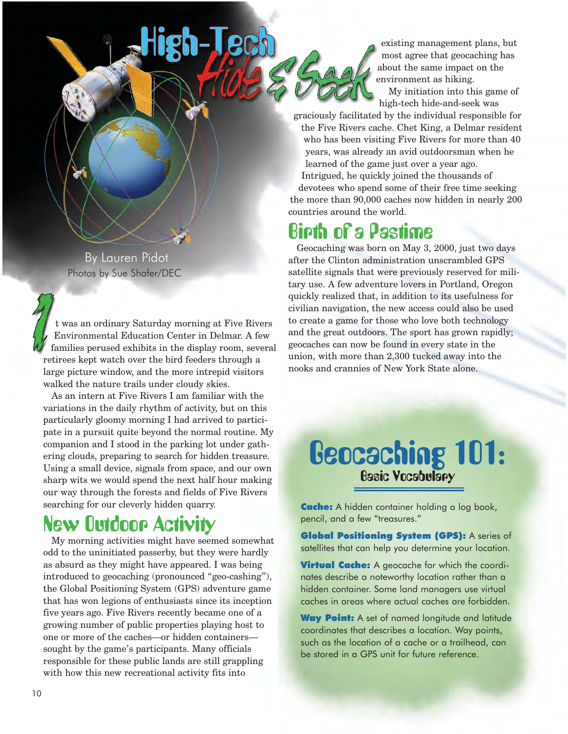existing management plans, but most agree that geocaching has about the same impact on the environment as hiking.

My initiation into this game of high-tech hide-and-seek was

graciously facilitated by the individual responsible for the Five Rivers cache. Chet King, a Delmar resident who has been visiting Five Rivers for more than 40 years, was already an avid outdoorsman when he learned of the game just over a year ago.

Intrigued, he quickly joined the thousands of devotees who spend some of their free time seeking the more than 90,000 caches now hidden in nearly 200 countries around the world.

# Birth of a Pastime

Geocaching was born on May 3, 2000, just two days after the Clinton administration unscrambled GPS satellite signals that were previously reserved for military use. A few adventure lovers in Portland, Oregon quickly realized that, in addition to its usefulness for civilian navigation, the new access could also be used to create a game for those who love both technology and the great outdoors. The sport has grown rapidly; geocaches can now be found in every state in the union, with more than 2,300 tucked away into the nooks and crannies of New York State alone.

# Geocaching 101: Basic Vocabulary

**Cache:** A hidden container holding a log book, pencil, and a few "treasures."

Global Positioning System (GPS): A series of satellites that can help you determine your location.

**Virtual Cache:** A geocache for which the coordinates describe a noteworthy location rather than a hidden container. Some land managers use virtual caches in areas where actual caches are forbidden.

Way Point: A set of named longitude and latitude coordinates that describes a location. Way points, such as the location of a cache or a trailhead, can be stored in a GPS unit for future reference.

By Lauren Pidot Photos by Sue Shafer/DEC

t was an ordinary Saturday morning at Five Rivers Environmental Education Center in Delmar. A few families perused exhibits in the display room, several retirees kept watch over the bird feeders through a large picture window, and the more intrepid visitors walked the nature trails under cloudy skies.

**PC1** 

As an intern at Five Rivers I am familiar with the variations in the daily rhythm of activity, but on this particularly gloomy morning I had arrived to participate in a pursuit quite beyond the normal routine. My companion and I stood in the parking lot under gathering clouds, preparing to search for hidden treasure. Using a small device, signals from space, and our own sharp wits we would spend the next half hour making our way through the forests and fields of Five Rivers searching for our cleverly hidden quarry.

# New Outdoor Activity

My morning activities might have seemed somewhat odd to the uninitiated passerby, but they were hardly as absurd as they might have appeared. I was being introduced to geocaching (pronounced "geo-cashing"), the Global Positioning System (GPS) adventure game that has won legions of enthusiasts since its inception five years ago. Five Rivers recently became one of a growing number of public properties playing host to one or more of the caches—or hidden containers sought by the game's participants. Many officials responsible for these public lands are still grappling with how this new recreational activity fits into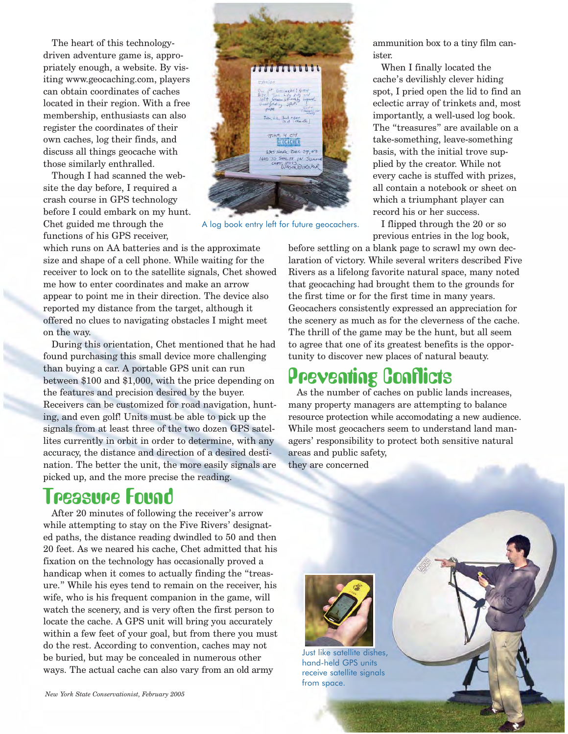The heart of this technologydriven adventure game is, appropriately enough, a website. By visiting <www.geocaching.com>, players can obtain coordinates of caches located in their region. With a free membership, enthusiasts can also register the coordinates of their own caches, log their finds, and discuss all things geocache with those similarly enthralled.

Though I had scanned the website the day before, I required a crash course in GPS technology before I could embark on my hunt. Chet guided me through the A log book entry left for future geocachers. I flipped through the 20 or so functions of his GPS receiver,

which runs on AA batteries and is the approximate size and shape of a cell phone. While waiting for the receiver to lock on to the satellite signals, Chet showed me how to enter coordinates and make an arrow appear to point me in their direction. The device also reported my distance from the target, although it offered no clues to navigating obstacles I might meet on the way.

During this orientation, Chet mentioned that he had found purchasing this small device more challenging than buying a car. A portable GPS unit can run between \$100 and \$1,000, with the price depending on the features and precision desired by the buyer. Receivers can be customized for road navigation, hunting, and even golf! Units must be able to pick up the signals from at least three of the two dozen GPS satellites currently in orbit in order to determine, with any accuracy, the distance and direction of a desired destination. The better the unit, the more easily signals are picked up, and the more precise the reading.

### Treasure Found

After 20 minutes of following the receiver's arrow while attempting to stay on the Five Rivers' designated paths, the distance reading dwindled to 50 and then 20 feet. As we neared his cache, Chet admitted that his fixation on the technology has occasionally proved a handicap when it comes to actually finding the "treasure." While his eyes tend to remain on the receiver, his wife, who is his frequent companion in the game, will watch the scenery, and is very often the first person to locate the cache. A GPS unit will bring you accurately within a few feet of your goal, but from there you must do the rest. According to convention, caches may not be buried, but may be concealed in numerous other ways. The actual cache can also vary from an old army



ammunition box to a tiny film canister.

When I finally located the cache's devilishly clever hiding spot, I pried open the lid to find an eclectic array of trinkets and, most importantly, a well-used log book. The "treasures" are available on a take-something, leave-something basis, with the initial trove supplied by the creator. While not every cache is stuffed with prizes, all contain a notebook or sheet on which a triumphant player can record his or her success.

previous entries in the log book,

before settling on a blank page to scrawl my own declaration of victory. While several writers described Five Rivers as a lifelong favorite natural space, many noted that geocaching had brought them to the grounds for the first time or for the first time in many years. Geocachers consistently expressed an appreciation for the scenery as much as for the cleverness of the cache. The thrill of the game may be the hunt, but all seem to agree that one of its greatest benefits is the opportunity to discover new places of natural beauty.

# Preventing Conflicts

As the number of caches on public lands increases, many property managers are attempting to balance resource protection while accomodating a new audience. While most geocachers seem to understand land managers' responsibility to protect both sensitive natural areas and public safety, they are concerned



Just like satellite dishes, hand-held GPS units receive satellite signals from space.